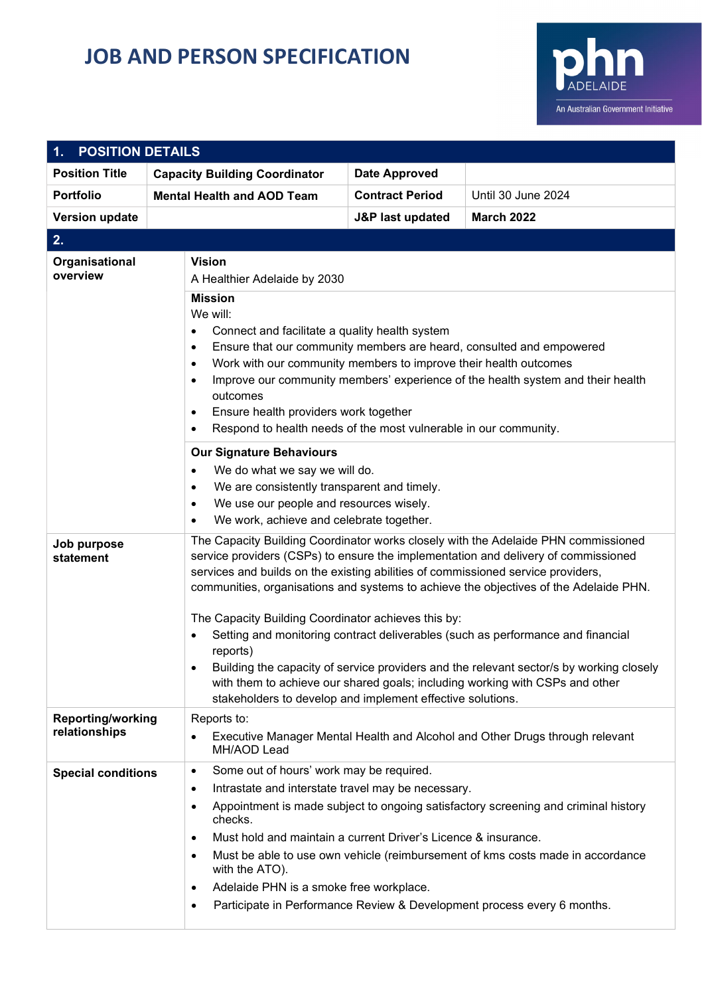## **JOB AND PERSON SPECIFICATION**



| <b>POSITION DETAILS</b><br>$\mathbf 1$ .  |                                                                                                                                                                                                                                                                                                             |                                                                                                                                                                                                                                                                                                                                                                                                                                                                                                                                                                                                                                                                                                                                          |                                                                                                                                                                                                                                                 |  |  |
|-------------------------------------------|-------------------------------------------------------------------------------------------------------------------------------------------------------------------------------------------------------------------------------------------------------------------------------------------------------------|------------------------------------------------------------------------------------------------------------------------------------------------------------------------------------------------------------------------------------------------------------------------------------------------------------------------------------------------------------------------------------------------------------------------------------------------------------------------------------------------------------------------------------------------------------------------------------------------------------------------------------------------------------------------------------------------------------------------------------------|-------------------------------------------------------------------------------------------------------------------------------------------------------------------------------------------------------------------------------------------------|--|--|
| <b>Position Title</b>                     | <b>Capacity Building Coordinator</b>                                                                                                                                                                                                                                                                        | <b>Date Approved</b>                                                                                                                                                                                                                                                                                                                                                                                                                                                                                                                                                                                                                                                                                                                     |                                                                                                                                                                                                                                                 |  |  |
| <b>Portfolio</b>                          | <b>Mental Health and AOD Team</b>                                                                                                                                                                                                                                                                           | <b>Contract Period</b>                                                                                                                                                                                                                                                                                                                                                                                                                                                                                                                                                                                                                                                                                                                   | Until 30 June 2024                                                                                                                                                                                                                              |  |  |
| <b>Version update</b>                     |                                                                                                                                                                                                                                                                                                             | J&P last updated                                                                                                                                                                                                                                                                                                                                                                                                                                                                                                                                                                                                                                                                                                                         | <b>March 2022</b>                                                                                                                                                                                                                               |  |  |
| 2.                                        |                                                                                                                                                                                                                                                                                                             |                                                                                                                                                                                                                                                                                                                                                                                                                                                                                                                                                                                                                                                                                                                                          |                                                                                                                                                                                                                                                 |  |  |
| Organisational<br>overview                | <b>Vision</b><br>A Healthier Adelaide by 2030                                                                                                                                                                                                                                                               |                                                                                                                                                                                                                                                                                                                                                                                                                                                                                                                                                                                                                                                                                                                                          |                                                                                                                                                                                                                                                 |  |  |
|                                           | We will:<br>$\bullet$<br>٠<br>$\bullet$<br>٠<br>outcomes<br>٠<br>$\bullet$<br><b>Our Signature Behaviours</b><br>$\bullet$<br>$\bullet$<br>$\bullet$<br>We work, achieve and celebrate together.<br>$\bullet$                                                                                               | <b>Mission</b><br>Connect and facilitate a quality health system<br>Ensure that our community members are heard, consulted and empowered<br>Work with our community members to improve their health outcomes<br>Improve our community members' experience of the health system and their health<br>Ensure health providers work together<br>Respond to health needs of the most vulnerable in our community.<br>We do what we say we will do.<br>We are consistently transparent and timely.<br>We use our people and resources wisely.                                                                                                                                                                                                  |                                                                                                                                                                                                                                                 |  |  |
| Job purpose<br>statement                  | ٠<br>reports)                                                                                                                                                                                                                                                                                               | The Capacity Building Coordinator works closely with the Adelaide PHN commissioned<br>service providers (CSPs) to ensure the implementation and delivery of commissioned<br>services and builds on the existing abilities of commissioned service providers,<br>communities, organisations and systems to achieve the objectives of the Adelaide PHN.<br>The Capacity Building Coordinator achieves this by:<br>Setting and monitoring contract deliverables (such as performance and financial<br>Building the capacity of service providers and the relevant sector/s by working closely<br>with them to achieve our shared goals; including working with CSPs and other<br>stakeholders to develop and implement effective solutions. |                                                                                                                                                                                                                                                 |  |  |
| <b>Reporting/working</b><br>relationships | Reports to:<br>$\bullet$<br>MH/AOD Lead                                                                                                                                                                                                                                                                     | Executive Manager Mental Health and Alcohol and Other Drugs through relevant                                                                                                                                                                                                                                                                                                                                                                                                                                                                                                                                                                                                                                                             |                                                                                                                                                                                                                                                 |  |  |
| <b>Special conditions</b>                 | Some out of hours' work may be required.<br>$\bullet$<br>Intrastate and interstate travel may be necessary.<br>$\bullet$<br>$\bullet$<br>checks.<br>Must hold and maintain a current Driver's Licence & insurance.<br>$\bullet$<br>٠<br>with the ATO).<br>Adelaide PHN is a smoke free workplace.<br>٠<br>٠ |                                                                                                                                                                                                                                                                                                                                                                                                                                                                                                                                                                                                                                                                                                                                          | Appointment is made subject to ongoing satisfactory screening and criminal history<br>Must be able to use own vehicle (reimbursement of kms costs made in accordance<br>Participate in Performance Review & Development process every 6 months. |  |  |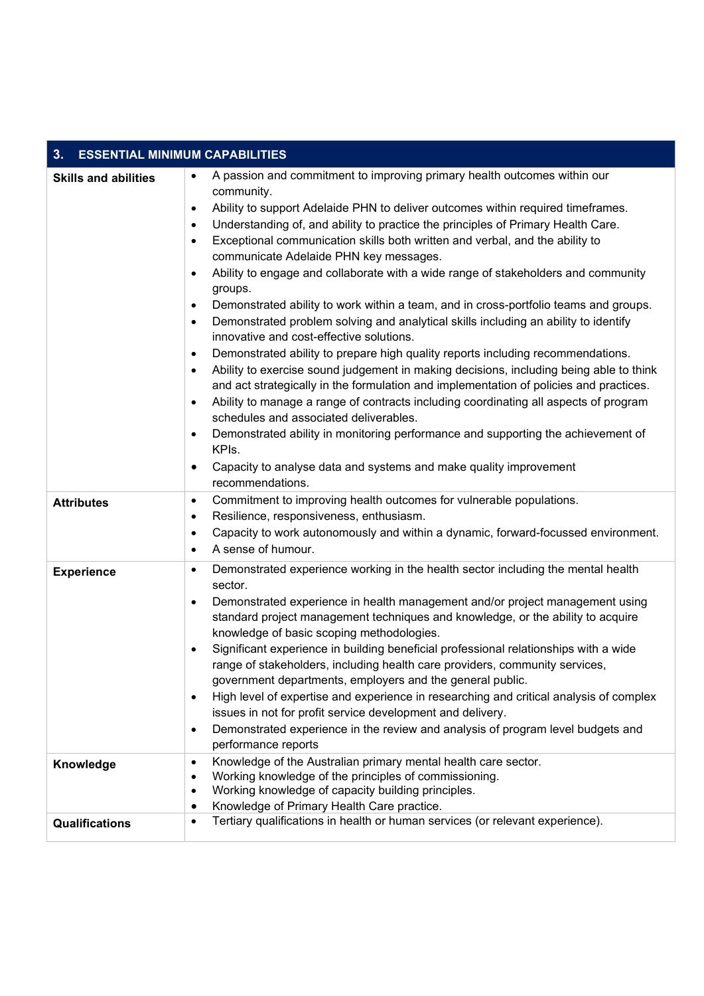| 3.<br><b>ESSENTIAL MINIMUM CAPABILITIES</b> |                                                                                                                                                                                                                                                                                                                                                                                                                                                                                                                                                                                                                                                                                                                                                                                                                                                                                                                                                                                                                                                                                                                                                                                                                                                                                                                                                                                                                                                                               |  |  |  |
|---------------------------------------------|-------------------------------------------------------------------------------------------------------------------------------------------------------------------------------------------------------------------------------------------------------------------------------------------------------------------------------------------------------------------------------------------------------------------------------------------------------------------------------------------------------------------------------------------------------------------------------------------------------------------------------------------------------------------------------------------------------------------------------------------------------------------------------------------------------------------------------------------------------------------------------------------------------------------------------------------------------------------------------------------------------------------------------------------------------------------------------------------------------------------------------------------------------------------------------------------------------------------------------------------------------------------------------------------------------------------------------------------------------------------------------------------------------------------------------------------------------------------------------|--|--|--|
| <b>Skills and abilities</b>                 | A passion and commitment to improving primary health outcomes within our<br>$\bullet$<br>community.<br>Ability to support Adelaide PHN to deliver outcomes within required timeframes.<br>$\bullet$<br>Understanding of, and ability to practice the principles of Primary Health Care.<br>$\bullet$<br>Exceptional communication skills both written and verbal, and the ability to<br>$\bullet$<br>communicate Adelaide PHN key messages.<br>Ability to engage and collaborate with a wide range of stakeholders and community<br>$\bullet$<br>groups.<br>Demonstrated ability to work within a team, and in cross-portfolio teams and groups.<br>$\bullet$<br>Demonstrated problem solving and analytical skills including an ability to identify<br>$\bullet$<br>innovative and cost-effective solutions.<br>Demonstrated ability to prepare high quality reports including recommendations.<br>$\bullet$<br>Ability to exercise sound judgement in making decisions, including being able to think<br>$\bullet$<br>and act strategically in the formulation and implementation of policies and practices.<br>Ability to manage a range of contracts including coordinating all aspects of program<br>$\bullet$<br>schedules and associated deliverables.<br>Demonstrated ability in monitoring performance and supporting the achievement of<br>$\bullet$<br>KPIs.<br>Capacity to analyse data and systems and make quality improvement<br>$\bullet$<br>recommendations. |  |  |  |
| <b>Attributes</b>                           | Commitment to improving health outcomes for vulnerable populations.<br>$\bullet$<br>Resilience, responsiveness, enthusiasm.<br>$\bullet$<br>Capacity to work autonomously and within a dynamic, forward-focussed environment.<br>$\bullet$<br>A sense of humour.<br>$\bullet$                                                                                                                                                                                                                                                                                                                                                                                                                                                                                                                                                                                                                                                                                                                                                                                                                                                                                                                                                                                                                                                                                                                                                                                                 |  |  |  |
| <b>Experience</b>                           | Demonstrated experience working in the health sector including the mental health<br>$\bullet$<br>sector.<br>Demonstrated experience in health management and/or project management using<br>$\bullet$<br>standard project management techniques and knowledge, or the ability to acquire<br>knowledge of basic scoping methodologies.<br>Significant experience in building beneficial professional relationships with a wide<br>$\bullet$<br>range of stakeholders, including health care providers, community services,<br>government departments, employers and the general public.<br>High level of expertise and experience in researching and critical analysis of complex<br>$\bullet$<br>issues in not for profit service development and delivery.<br>Demonstrated experience in the review and analysis of program level budgets and<br>$\bullet$<br>performance reports                                                                                                                                                                                                                                                                                                                                                                                                                                                                                                                                                                                            |  |  |  |
| Knowledge                                   | Knowledge of the Australian primary mental health care sector.<br>$\bullet$<br>Working knowledge of the principles of commissioning.<br>$\bullet$<br>Working knowledge of capacity building principles.<br>$\bullet$<br>Knowledge of Primary Health Care practice.<br>$\bullet$                                                                                                                                                                                                                                                                                                                                                                                                                                                                                                                                                                                                                                                                                                                                                                                                                                                                                                                                                                                                                                                                                                                                                                                               |  |  |  |
| <b>Qualifications</b>                       | Tertiary qualifications in health or human services (or relevant experience).<br>$\bullet$                                                                                                                                                                                                                                                                                                                                                                                                                                                                                                                                                                                                                                                                                                                                                                                                                                                                                                                                                                                                                                                                                                                                                                                                                                                                                                                                                                                    |  |  |  |